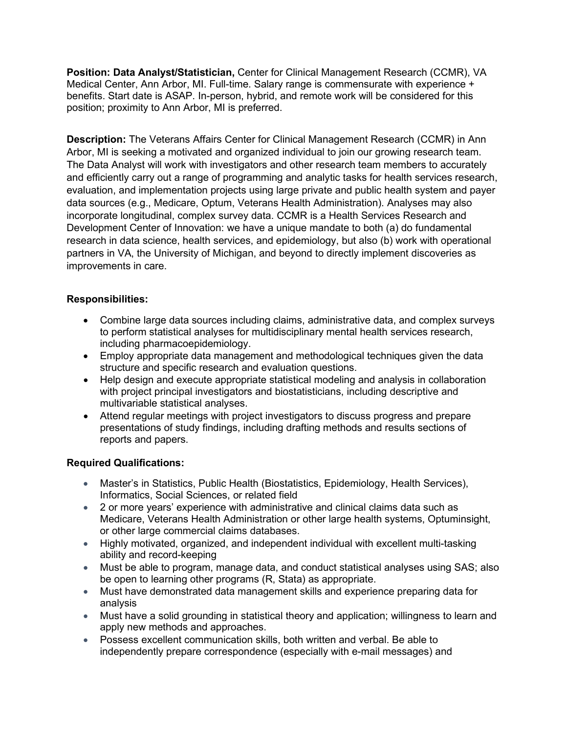**Position: Data Analyst/Statistician,** Center for Clinical Management Research (CCMR), VA Medical Center, Ann Arbor, MI. Full-time. Salary range is commensurate with experience + benefits. Start date is ASAP. In-person, hybrid, and remote work will be considered for this position; proximity to Ann Arbor, MI is preferred.

**Description:** The Veterans Affairs Center for Clinical Management Research (CCMR) in Ann Arbor, MI is seeking a motivated and organized individual to join our growing research team. The Data Analyst will work with investigators and other research team members to accurately and efficiently carry out a range of programming and analytic tasks for health services research, evaluation, and implementation projects using large private and public health system and payer data sources (e.g., Medicare, Optum, Veterans Health Administration). Analyses may also incorporate longitudinal, complex survey data. CCMR is a Health Services Research and Development Center of Innovation: we have a unique mandate to both (a) do fundamental research in data science, health services, and epidemiology, but also (b) work with operational partners in VA, the University of Michigan, and beyond to directly implement discoveries as improvements in care.

## **Responsibilities:**

- Combine large data sources including claims, administrative data, and complex surveys to perform statistical analyses for multidisciplinary mental health services research, including pharmacoepidemiology.
- Employ appropriate data management and methodological techniques given the data structure and specific research and evaluation questions.
- Help design and execute appropriate statistical modeling and analysis in collaboration with project principal investigators and biostatisticians, including descriptive and multivariable statistical analyses.
- Attend regular meetings with project investigators to discuss progress and prepare presentations of study findings, including drafting methods and results sections of reports and papers.

## **Required Qualifications:**

- Master's in Statistics, Public Health (Biostatistics, Epidemiology, Health Services), Informatics, Social Sciences, or related field
- 2 or more years' experience with administrative and clinical claims data such as Medicare, Veterans Health Administration or other large health systems, Optuminsight, or other large commercial claims databases.
- Highly motivated, organized, and independent individual with excellent multi-tasking ability and record-keeping
- Must be able to program, manage data, and conduct statistical analyses using SAS; also be open to learning other programs (R, Stata) as appropriate.
- Must have demonstrated data management skills and experience preparing data for analysis
- Must have a solid grounding in statistical theory and application; willingness to learn and apply new methods and approaches.
- Possess excellent communication skills, both written and verbal. Be able to independently prepare correspondence (especially with e-mail messages) and